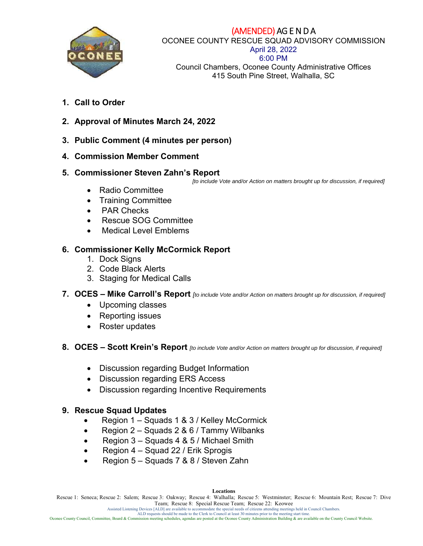

# (AMENDED) AG E N D A

OCONEE COUNTY RESCUE SQUAD ADVISORY COMMISSION

#### April 28, 2022 6:00 PM

Council Chambers, Oconee County Administrative Offices 415 South Pine Street, Walhalla, SC

- **1. Call to Order**
- **2. Approval of Minutes March 24, 2022**
- **3. Public Comment (4 minutes per person)**
- **4. Commission Member Comment**
- **5. Commissioner Steven Zahn's Report**

 *[to include Vote and/or Action on matters brought up for discussion, if required]*

- Radio Committee
- Training Committee
- PAR Checks
- Rescue SOG Committee
- Medical Level Emblems

# **6. Commissioner Kelly McCormick Report**

- 1. Dock Signs
- 2. Code Black Alerts
- 3. Staging for Medical Calls

## **7. OCES – Mike Carroll's Report** *[to include Vote and/or Action on matters brought up for discussion, if required]*

- Upcoming classes
- Reporting issues
- Roster updates
- **8. OCES Scott Krein's Report** *[to include Vote and/or Action on matters brought up for discussion, if required]*
	- Discussion regarding Budget Information
	- Discussion regarding ERS Access
	- Discussion regarding Incentive Requirements

# **9. Rescue Squad Updates**

- Region 1 Squads 1 & 3 / Kelley McCormick
- Region  $2 -$  Squads  $2 & 6 /$  Tammy Wilbanks
- Region  $3 -$  Squads 4 & 5 / Michael Smith
- Region  $4 -$  Squad 22 / Erik Sprogis
- Region 5 Squads 7 & 8 / Steven Zahn

Rescue 1: Seneca; Rescue 2: Salem; Rescue 3: Oakway; Rescue 4: Walhalla; Rescue 5: Westminster; Rescue 6: Mountain Rest; Rescue 7: Dive Team; Rescue 8: Special Rescue Team; Rescue 22: Keowee

Assisted Listening Devices [ALD] are available to accommodate the special needs of citizens attending meetings held in Council Chambers.<br>AlD requests should be made to the Clerk to Council at least 30 minitses prior to the